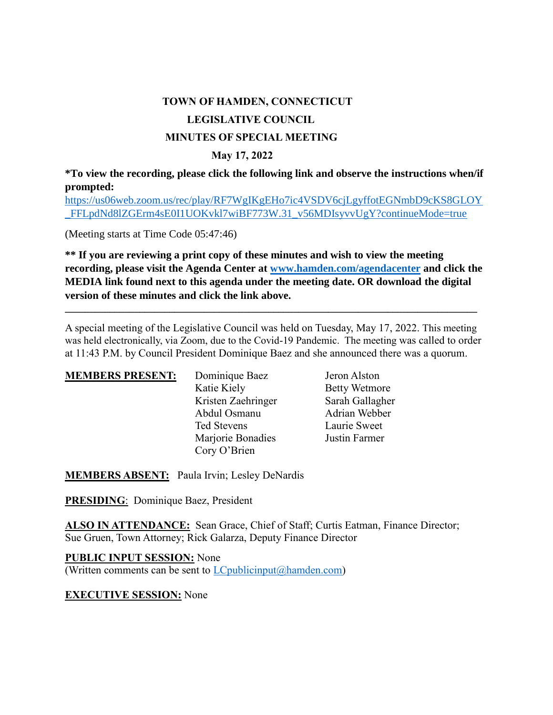## **TOWN OF HAMDEN, CONNECTICUT LEGISLATIVE COUNCIL MINUTES OF SPECIAL MEETING**

## **May 17, 2022**

**\*To view the recording, please click the following link and observe the instructions when/if prompted:**

[https://us06web.zoom.us/rec/play/RF7WgIKgEHo7ic4VSDV6cjLgyffotEGNmbD9cKS8GLOY](https://us06web.zoom.us/rec/play/RF7WgIKgEHo7ic4VSDV6cjLgyffotEGNmbD9cKS8GLOY_FFLpdNd8lZGErm4sE0I1UOKvkl7wiBF773W.31_v56MDIsyvvUgY?continueMode=true) [\\_FFLpdNd8lZGErm4sE0I1UOKvkl7wiBF773W.31\\_v56MDIsyvvUgY?continueMode=true](https://us06web.zoom.us/rec/play/RF7WgIKgEHo7ic4VSDV6cjLgyffotEGNmbD9cKS8GLOY_FFLpdNd8lZGErm4sE0I1UOKvkl7wiBF773W.31_v56MDIsyvvUgY?continueMode=true)

(Meeting starts at Time Code 05:47:46)

**\*\* If you are reviewing a print copy of these minutes and wish to view the meeting recording, please visit the Agenda Center at [www.hamden.com/agendacenter](http://www.hamden.com/agendacenter) and click the MEDIA link found next to this agenda under the meeting date. OR download the digital version of these minutes and click the link above.**

A special meeting of the Legislative Council was held on Tuesday, May 17, 2022. This meeting was held electronically, via Zoom, due to the Covid-19 Pandemic. The meeting was called to order at 11:43 P.M. by Council President Dominique Baez and she announced there was a quorum.

**\_\_\_\_\_\_\_\_\_\_\_\_\_\_\_\_\_\_\_\_\_\_\_\_\_\_\_\_\_\_\_\_\_\_\_\_\_\_\_\_\_\_\_\_\_\_\_\_\_\_\_\_\_\_\_\_\_\_\_\_\_\_\_\_\_\_\_\_\_\_\_\_\_\_\_\_\_\_\_\_\_\_\_**

| <b>MEMBERS PRESENT:</b> | Dominique Baez     | Jeron Alston         |
|-------------------------|--------------------|----------------------|
|                         | Katie Kiely        | <b>Betty Wetmore</b> |
|                         | Kristen Zaehringer | Sarah Gallagher      |
|                         | Abdul Osmanu       | Adrian Webber        |
|                         | Ted Stevens        | Laurie Sweet         |
|                         | Marjorie Bonadies  | Justin Farmer        |
|                         | Cory O'Brien       |                      |

**MEMBERS ABSENT:** Paula Irvin; Lesley DeNardis

**PRESIDING**: Dominique Baez, President

**ALSO IN ATTENDANCE:** Sean Grace, Chief of Staff; Curtis Eatman, Finance Director; Sue Gruen, Town Attorney; Rick Galarza, Deputy Finance Director

**PUBLIC INPUT SESSION:** None (Written comments can be sent to  $LCpublic input@hamden.com$ )

**EXECUTIVE SESSION:** None